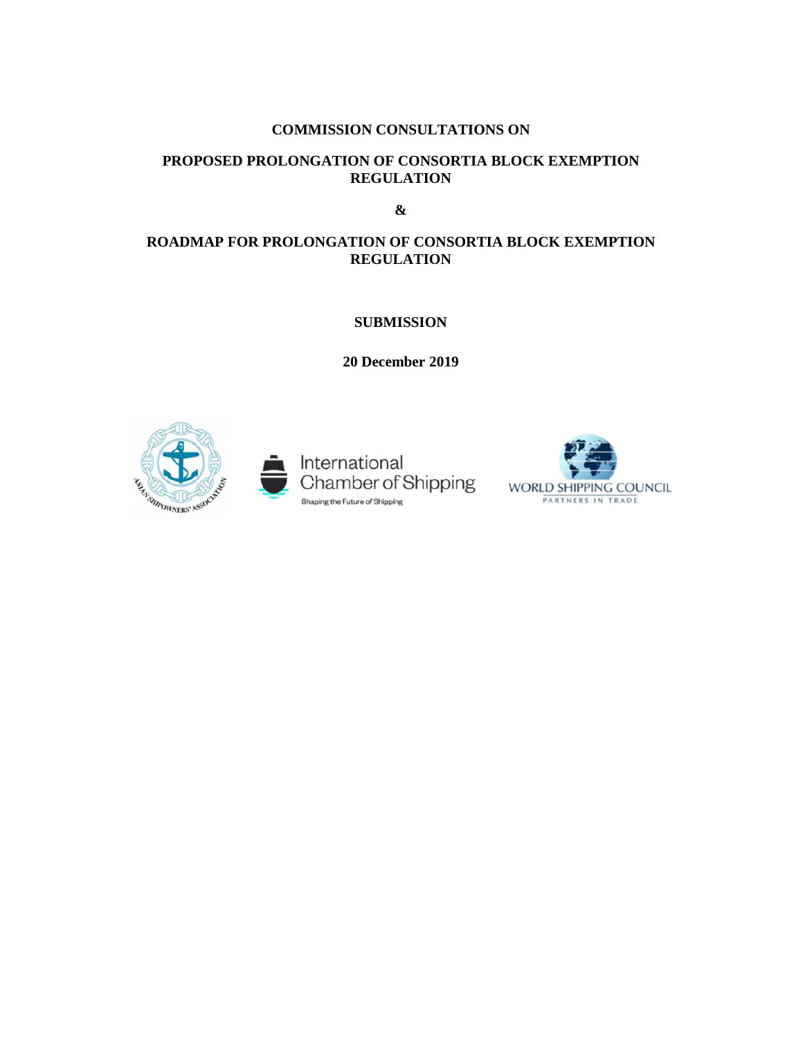## **COMMISSION CONSULTATIONS ON**

## **PROPOSED PROLONGATION OF CONSORTIA BLOCK EXEMPTION REGULATION**

**&** 

# **ROADMAP FOR PROLONGATION OF CONSORTIA BLOCK EXEMPTION REGULATION**

**SUBMISSION** 

**20 December 2019** 





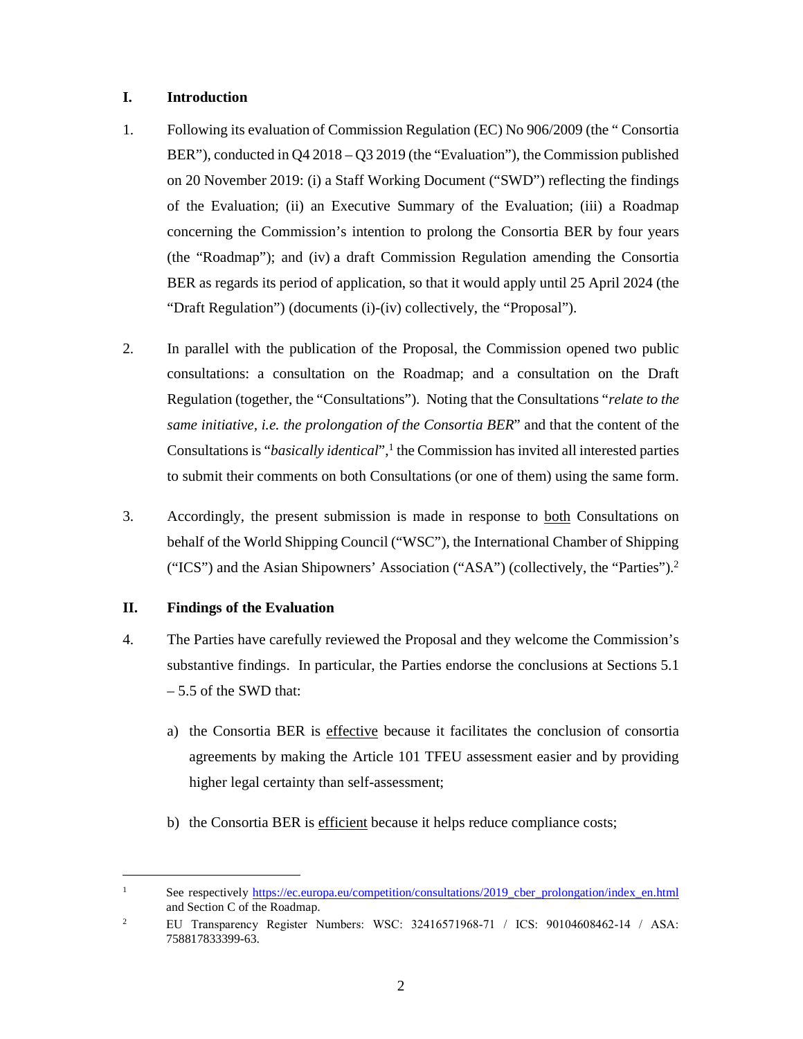#### **I. Introduction**

- 1. Following its evaluation of Commission Regulation (EC) No 906/2009 (the " Consortia BER"), conducted in Q4 2018 – Q3 2019 (the "Evaluation"), the Commission published on 20 November 2019: (i) a Staff Working Document ("SWD") reflecting the findings of the Evaluation; (ii) an Executive Summary of the Evaluation; (iii) a Roadmap concerning the Commission's intention to prolong the Consortia BER by four years (the "Roadmap"); and (iv) a draft Commission Regulation amending the Consortia BER as regards its period of application, so that it would apply until 25 April 2024 (the "Draft Regulation") (documents (i)-(iv) collectively, the "Proposal").
- 2. In parallel with the publication of the Proposal, the Commission opened two public consultations: a consultation on the Roadmap; and a consultation on the Draft Regulation (together, the "Consultations"). Noting that the Consultations "*relate to the same initiative, i.e. the prolongation of the Consortia BER*" and that the content of the Consultations is "*basically identical*",<sup>1</sup> the Commission has invited all interested parties to submit their comments on both Consultations (or one of them) using the same form.
- 3. Accordingly, the present submission is made in response to both Consultations on behalf of the World Shipping Council ("WSC"), the International Chamber of Shipping ("ICS") and the Asian Shipowners' Association ("ASA") (collectively, the "Parties").<sup>2</sup>

## **II. Findings of the Evaluation**

- 4. The Parties have carefully reviewed the Proposal and they welcome the Commission's substantive findings. In particular, the Parties endorse the conclusions at Sections 5.1 – 5.5 of the SWD that:
	- a) the Consortia BER is effective because it facilitates the conclusion of consortia agreements by making the Article 101 TFEU assessment easier and by providing higher legal certainty than self-assessment;
	- b) the Consortia BER is efficient because it helps reduce compliance costs;

<sup>&</sup>lt;sup>1</sup> See respectively https://ec.europa.eu/competition/consultations/2019\_cber\_prolongation/index\_en.html and Section C of the Roadmap.

<sup>&</sup>lt;sup>2</sup> EU Transparency Register Numbers: WSC: 32416571968-71 / ICS: 90104608462-14 / ASA: 758817833399-63.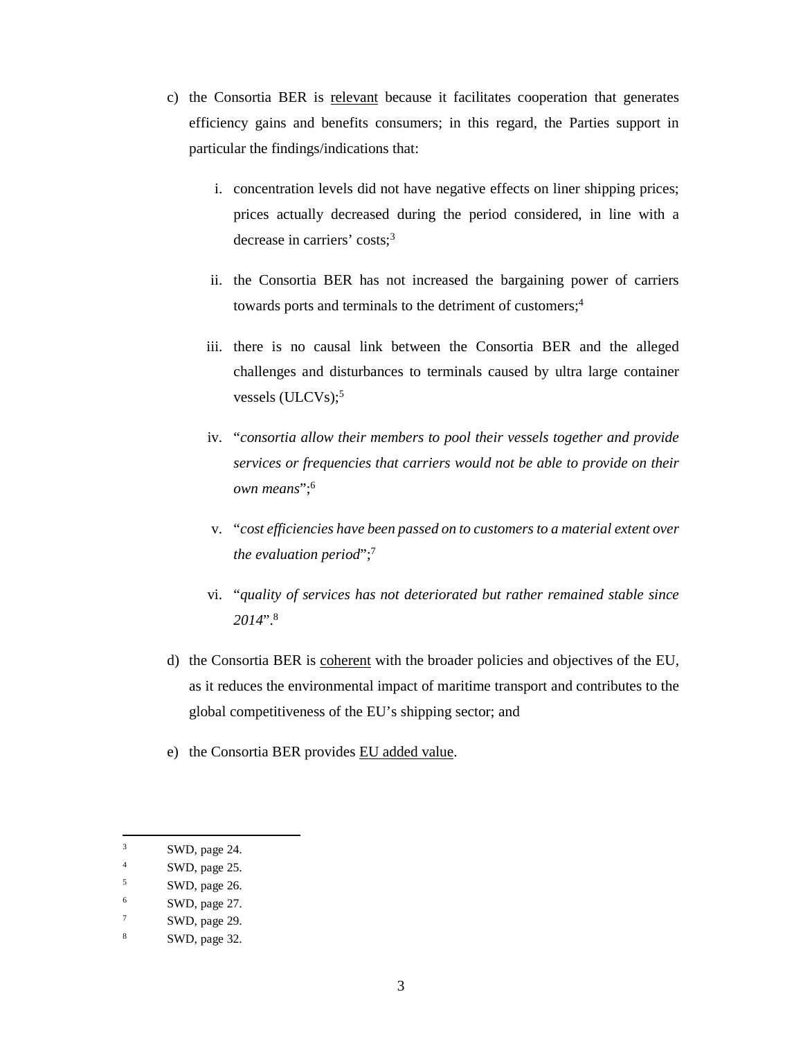- c) the Consortia BER is relevant because it facilitates cooperation that generates efficiency gains and benefits consumers; in this regard, the Parties support in particular the findings/indications that:
	- i. concentration levels did not have negative effects on liner shipping prices; prices actually decreased during the period considered, in line with a decrease in carriers' costs:<sup>3</sup>
	- ii. the Consortia BER has not increased the bargaining power of carriers towards ports and terminals to the detriment of customers;<sup>4</sup>
	- iii. there is no causal link between the Consortia BER and the alleged challenges and disturbances to terminals caused by ultra large container vessels (ULCVs);<sup>5</sup>
	- iv. "*consortia allow their members to pool their vessels together and provide services or frequencies that carriers would not be able to provide on their own means*";<sup>6</sup>
	- v. "*cost efficiencies have been passed on to customers to a material extent over the evaluation period*";<sup>7</sup>
	- vi. "*quality of services has not deteriorated but rather remained stable since 2014*".<sup>8</sup>
- d) the Consortia BER is coherent with the broader policies and objectives of the EU, as it reduces the environmental impact of maritime transport and contributes to the global competitiveness of the EU's shipping sector; and
- e) the Consortia BER provides EU added value.

<sup>&</sup>lt;sup>3</sup> SWD, page 24.

<sup>&</sup>lt;sup>4</sup> SWD, page 25.

<sup>5</sup> SWD, page 26.

<sup>6</sup> SWD, page 27.

<sup>7</sup> SWD, page 29.

<sup>8</sup> SWD, page 32.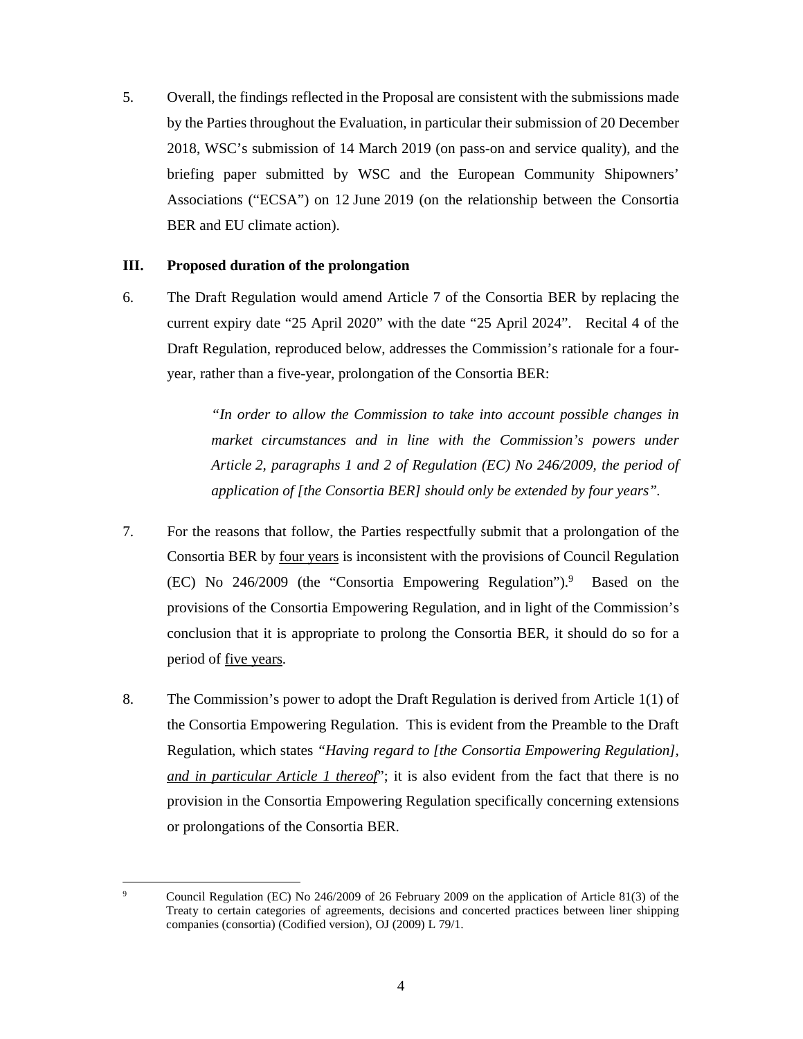5. Overall, the findings reflected in the Proposal are consistent with the submissions made by the Parties throughout the Evaluation, in particular their submission of 20 December 2018, WSC's submission of 14 March 2019 (on pass-on and service quality), and the briefing paper submitted by WSC and the European Community Shipowners' Associations ("ECSA") on 12 June 2019 (on the relationship between the Consortia BER and EU climate action).

#### **III. Proposed duration of the prolongation**

6. The Draft Regulation would amend Article 7 of the Consortia BER by replacing the current expiry date "25 April 2020" with the date "25 April 2024". Recital 4 of the Draft Regulation, reproduced below, addresses the Commission's rationale for a fouryear, rather than a five-year, prolongation of the Consortia BER:

> *"In order to allow the Commission to take into account possible changes in market circumstances and in line with the Commission's powers under Article 2, paragraphs 1 and 2 of Regulation (EC) No 246/2009, the period of application of [the Consortia BER] should only be extended by four years".*

- 7. For the reasons that follow, the Parties respectfully submit that a prolongation of the Consortia BER by four years is inconsistent with the provisions of Council Regulation (EC) No 246/2009 (the "Consortia Empowering Regulation").<sup>9</sup> Based on the provisions of the Consortia Empowering Regulation, and in light of the Commission's conclusion that it is appropriate to prolong the Consortia BER, it should do so for a period of five years.
- 8. The Commission's power to adopt the Draft Regulation is derived from Article 1(1) of the Consortia Empowering Regulation. This is evident from the Preamble to the Draft Regulation, which states *"Having regard to [the Consortia Empowering Regulation], and in particular Article 1 thereof*"; it is also evident from the fact that there is no provision in the Consortia Empowering Regulation specifically concerning extensions or prolongations of the Consortia BER.

<sup>9</sup> Council Regulation (EC) No 246/2009 of 26 February 2009 on the application of Article 81(3) of the Treaty to certain categories of agreements, decisions and concerted practices between liner shipping companies (consortia) (Codified version), OJ (2009) L 79/1.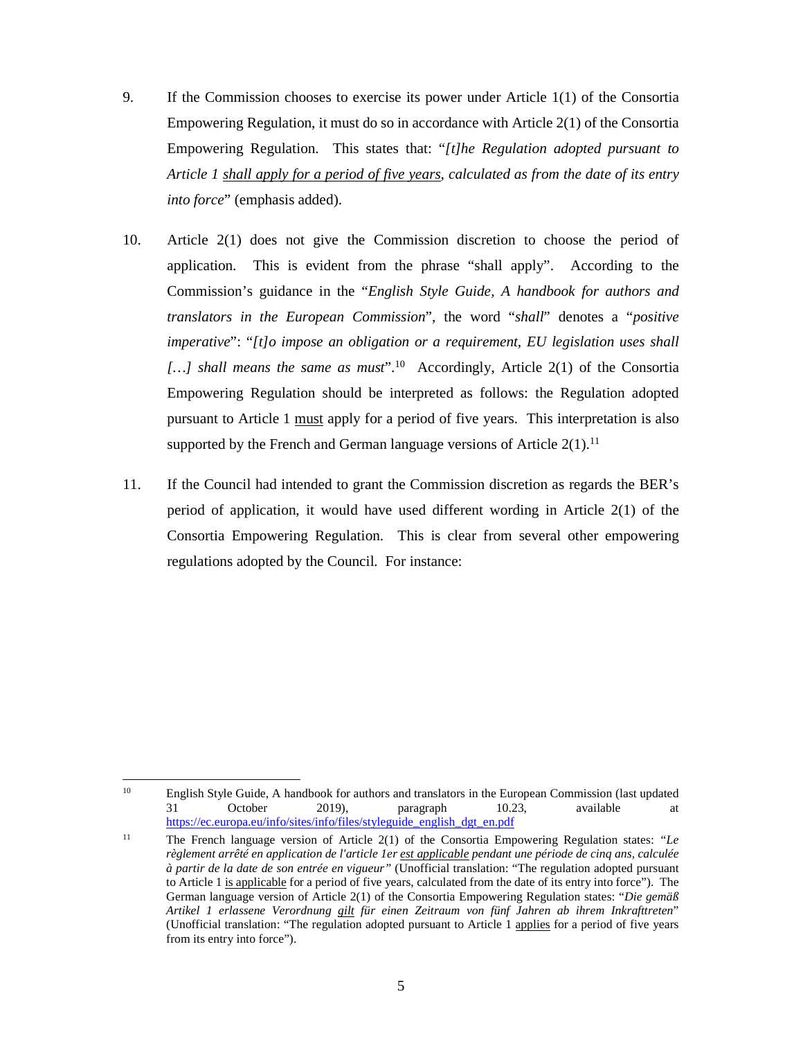- 9. If the Commission chooses to exercise its power under Article 1(1) of the Consortia Empowering Regulation, it must do so in accordance with Article 2(1) of the Consortia Empowering Regulation. This states that: "*[t]he Regulation adopted pursuant to Article 1 shall apply for a period of five years, calculated as from the date of its entry into force*" (emphasis added).
- 10. Article 2(1) does not give the Commission discretion to choose the period of application. This is evident from the phrase "shall apply". According to the Commission's guidance in the "*English Style Guide, A handbook for authors and translators in the European Commission*", the word "*shall*" denotes a "*positive imperative*": "*[t]o impose an obligation or a requirement, EU legislation uses shall*  [...] shall means the same as must<sup>".10</sup> Accordingly, Article 2(1) of the Consortia Empowering Regulation should be interpreted as follows: the Regulation adopted pursuant to Article 1 must apply for a period of five years. This interpretation is also supported by the French and German language versions of Article  $2(1)$ .<sup>11</sup>
- 11. If the Council had intended to grant the Commission discretion as regards the BER's period of application, it would have used different wording in Article 2(1) of the Consortia Empowering Regulation. This is clear from several other empowering regulations adopted by the Council. For instance:

<sup>&</sup>lt;sup>10</sup> English Style Guide, A handbook for authors and translators in the European Commission (last updated 31 October 2019).  $\frac{10.23}{\text{aragonal}}$  available at 31 October 2019), paragraph 10.23, available at https://ec.europa.eu/info/sites/info/files/styleguide\_english\_dgt\_en.pdf

<sup>11</sup> The French language version of Article 2(1) of the Consortia Empowering Regulation states: *"Le règlement arrêté en application de l'article 1er est applicable pendant une période de cinq ans, calculée à partir de la date de son entrée en vigueur"* (Unofficial translation: "The regulation adopted pursuant to Article 1 is applicable for a period of five years, calculated from the date of its entry into force"). The German language version of Article 2(1) of the Consortia Empowering Regulation states: "*Die gemäß Artikel 1 erlassene Verordnung gilt für einen Zeitraum von fünf Jahren ab ihrem Inkrafttreten*" (Unofficial translation: "The regulation adopted pursuant to Article 1 applies for a period of five years from its entry into force").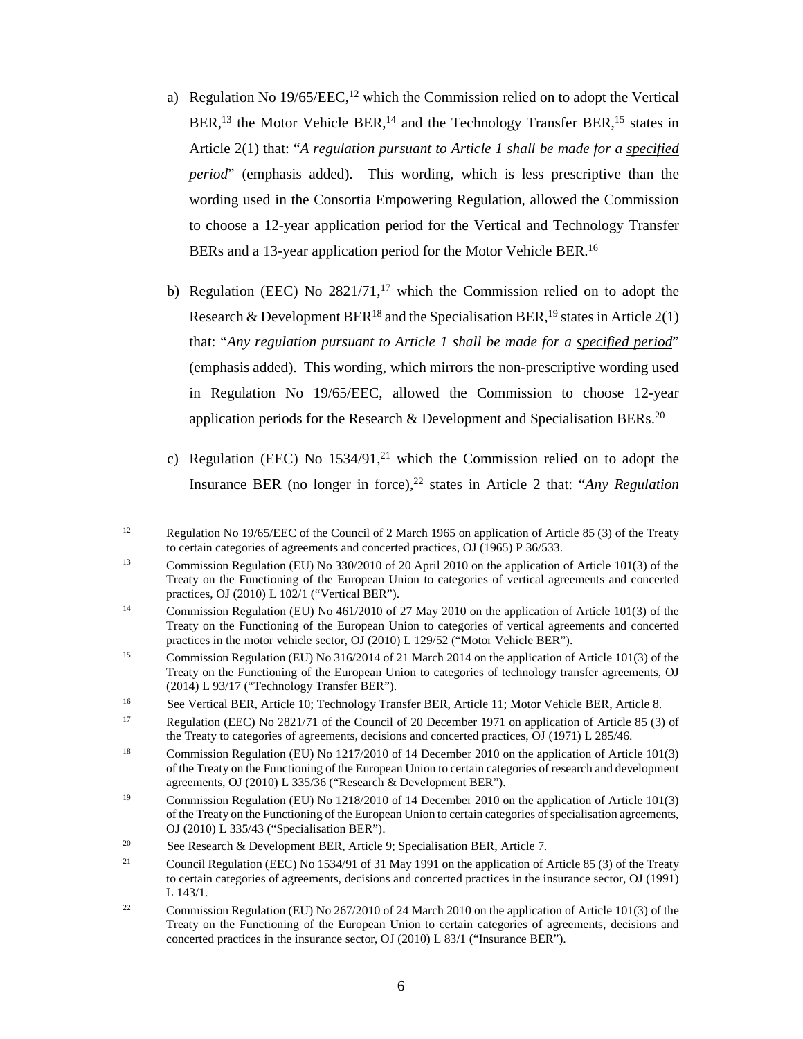- a) Regulation No  $19/65/EEC$ ,<sup>12</sup> which the Commission relied on to adopt the Vertical  $BER<sup>13</sup>$ , the Motor Vehicle BER,<sup>14</sup> and the Technology Transfer BER,<sup>15</sup> states in Article 2(1) that: "*A regulation pursuant to Article 1 shall be made for a specified period*" (emphasis added). This wording, which is less prescriptive than the wording used in the Consortia Empowering Regulation, allowed the Commission to choose a 12-year application period for the Vertical and Technology Transfer BERs and a 13-year application period for the Motor Vehicle BER.<sup>16</sup>
- b) Regulation (EEC) No  $2821/71$ ,<sup>17</sup> which the Commission relied on to adopt the Research & Development BER<sup>18</sup> and the Specialisation BER,<sup>19</sup> states in Article 2(1) that: "*Any regulation pursuant to Article 1 shall be made for a specified period*" (emphasis added). This wording, which mirrors the non-prescriptive wording used in Regulation No 19/65/EEC, allowed the Commission to choose 12-year application periods for the Research & Development and Specialisation BERs.<sup>20</sup>
- c) Regulation (EEC) No  $1534/91$ ,<sup>21</sup> which the Commission relied on to adopt the Insurance BER (no longer in force),<sup>22</sup> states in Article 2 that: "*Any Regulation*

<sup>&</sup>lt;sup>12</sup> Regulation No 19/65/EEC of the Council of 2 March 1965 on application of Article 85 (3) of the Treaty to certain categories of agreements and concerted practices, OJ (1965) P 36/533.

<sup>13</sup> Commission Regulation (EU) No 330/2010 of 20 April 2010 on the application of Article 101(3) of the Treaty on the Functioning of the European Union to categories of vertical agreements and concerted practices, OJ (2010) L 102/1 ("Vertical BER").

<sup>&</sup>lt;sup>14</sup> Commission Regulation (EU) No 461/2010 of 27 May 2010 on the application of Article 101(3) of the Treaty on the Functioning of the European Union to categories of vertical agreements and concerted practices in the motor vehicle sector, OJ (2010) L 129/52 ("Motor Vehicle BER").

<sup>&</sup>lt;sup>15</sup> Commission Regulation (EU) No 316/2014 of 21 March 2014 on the application of Article 101(3) of the Treaty on the Functioning of the European Union to categories of technology transfer agreements, OJ (2014) L 93/17 ("Technology Transfer BER").

<sup>&</sup>lt;sup>16</sup> See Vertical BER, Article 10; Technology Transfer BER, Article 11; Motor Vehicle BER, Article 8.

<sup>17</sup> Regulation (EEC) No 2821/71 of the Council of 20 December 1971 on application of Article 85 (3) of the Treaty to categories of agreements, decisions and concerted practices, OJ (1971) L 285/46.

<sup>&</sup>lt;sup>18</sup> Commission Regulation (EU) No 1217/2010 of 14 December 2010 on the application of Article 101(3) of the Treaty on the Functioning of the European Union to certain categories of research and development agreements, OJ (2010) L 335/36 ("Research & Development BER").

<sup>&</sup>lt;sup>19</sup> Commission Regulation (EU) No 1218/2010 of 14 December 2010 on the application of Article 101(3) of the Treaty on the Functioning of the European Union to certain categories of specialisation agreements, OJ (2010) L 335/43 ("Specialisation BER").

<sup>&</sup>lt;sup>20</sup> See Research & Development BER, Article 9; Specialisation BER, Article 7.

<sup>21</sup> Council Regulation (EEC) No 1534/91 of 31 May 1991 on the application of Article 85 (3) of the Treaty to certain categories of agreements, decisions and concerted practices in the insurance sector, OJ (1991) L 143/1.

<sup>&</sup>lt;sup>22</sup> Commission Regulation (EU) No 267/2010 of 24 March 2010 on the application of Article 101(3) of the Treaty on the Functioning of the European Union to certain categories of agreements, decisions and concerted practices in the insurance sector, OJ (2010) L 83/1 ("Insurance BER").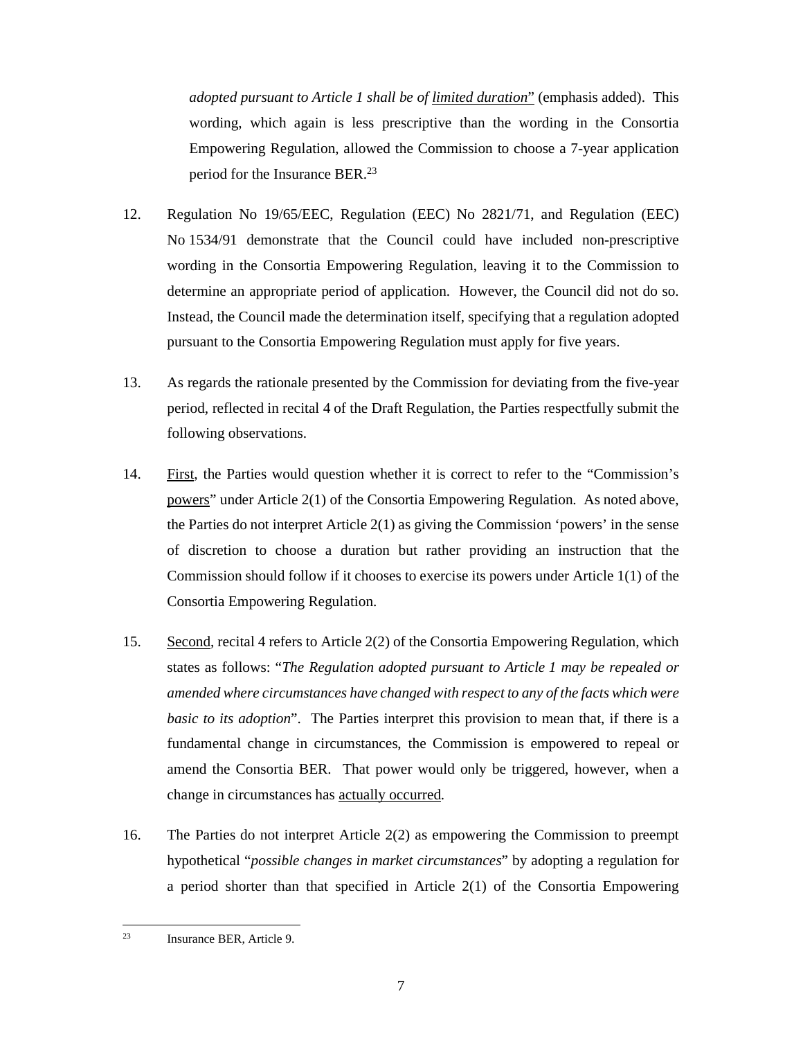*adopted pursuant to Article 1 shall be of limited duration*" (emphasis added). This wording, which again is less prescriptive than the wording in the Consortia Empowering Regulation, allowed the Commission to choose a 7-year application period for the Insurance BER.<sup>23</sup>

- 12. Regulation No 19/65/EEC, Regulation (EEC) No 2821/71, and Regulation (EEC) No 1534/91 demonstrate that the Council could have included non-prescriptive wording in the Consortia Empowering Regulation, leaving it to the Commission to determine an appropriate period of application. However, the Council did not do so. Instead, the Council made the determination itself, specifying that a regulation adopted pursuant to the Consortia Empowering Regulation must apply for five years.
- 13. As regards the rationale presented by the Commission for deviating from the five-year period, reflected in recital 4 of the Draft Regulation, the Parties respectfully submit the following observations.
- 14. First, the Parties would question whether it is correct to refer to the "Commission's powers" under Article 2(1) of the Consortia Empowering Regulation. As noted above, the Parties do not interpret Article 2(1) as giving the Commission 'powers' in the sense of discretion to choose a duration but rather providing an instruction that the Commission should follow if it chooses to exercise its powers under Article 1(1) of the Consortia Empowering Regulation.
- 15. Second, recital 4 refers to Article 2(2) of the Consortia Empowering Regulation, which states as follows: "*The Regulation adopted pursuant to Article 1 may be repealed or amended where circumstances have changed with respect to any of the facts which were basic to its adoption*". The Parties interpret this provision to mean that, if there is a fundamental change in circumstances, the Commission is empowered to repeal or amend the Consortia BER. That power would only be triggered, however, when a change in circumstances has actually occurred.
- 16. The Parties do not interpret Article 2(2) as empowering the Commission to preempt hypothetical "*possible changes in market circumstances*" by adopting a regulation for a period shorter than that specified in Article 2(1) of the Consortia Empowering

<sup>23</sup> Insurance BER, Article 9.